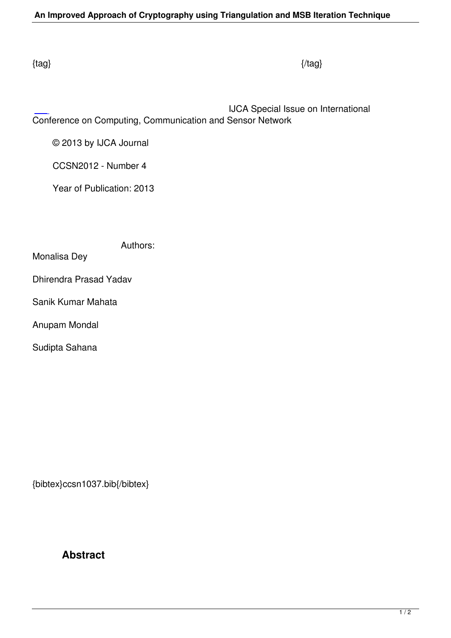IJCA Special Issue on International Conference on Computing, Communication and Sensor Network

© 2013 by IJCA Journal

CCSN2012 - Number 4

Year of Publication: 2013

Authors:

Monalisa Dey

Dhirendra Prasad Yadav

Sanik Kumar Mahata

Anupam Mondal

Sudipta Sahana

{bibtex}ccsn1037.bib{/bibtex}

## **Abstract**